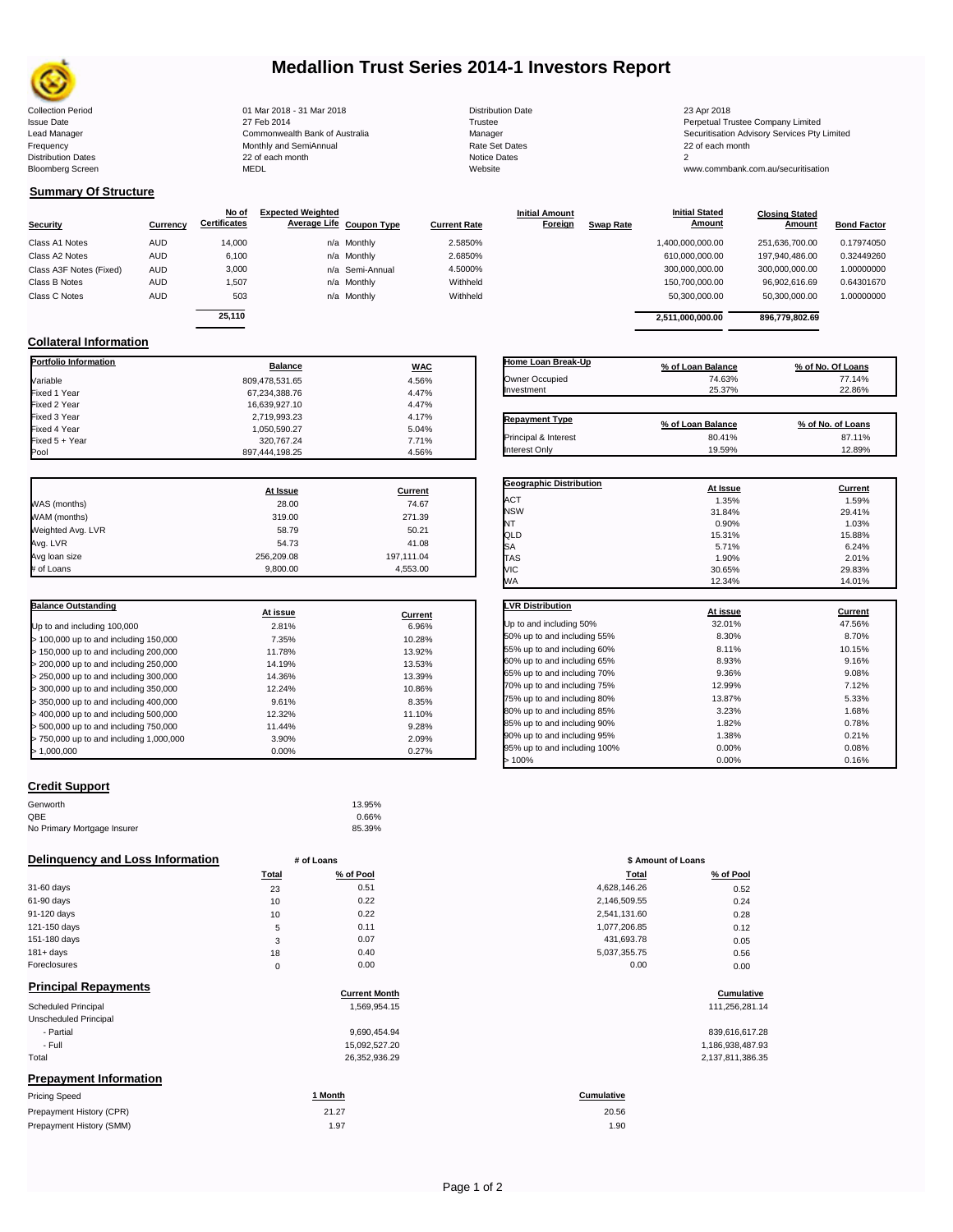

# **Medallion Trust Series 2014-1 Investors Report**

Collection Period 01 Mar 2018 - 31 Mar 2018 Distribution Date 23 Apr 2018

**Collateral Information**

Issue Date 2014 27 Feb 2014 27 Feb 2014<br>In the 2011 Commonwealth Bank of Australia 2008 Manager 2009 Manager 2009 Securitisation Advisory Services Pty Frequency 22 of each month Monthly and SemiAnnual Rate Set Dates 22 of each month 22 of each month 22 of each month<br>Distribution Dates 22 of each month 22 of each month 20 of each month and the Set Dates 20 month 2 Bloomberg Screen MEDL Website www.commbank.com.au/securitisation

| <b>Distribution Date</b> |
|--------------------------|
| Trustee                  |
| Manager                  |
| Rate Set Dates           |
| <b>Notice Dates</b>      |
| Website                  |

Lead Manager **Commonwealth Bank of Australia** Manager Manager Securitisation Advisory Services Pty Limited

## **Summary Of Structure**

| <b>Security</b>         | Currency   | No of<br><b>Certificates</b> | <b>Expected Weighted</b><br>Average Life Coupon Type |                 | <b>Current Rate</b> | <b>Initial Amount</b><br><b>Foreign</b> | <b>Swap Rate</b> | <b>Initial Stated</b><br><b>Amount</b> | <b>Closing Stated</b><br>Amount | <b>Bond Factor</b> |
|-------------------------|------------|------------------------------|------------------------------------------------------|-----------------|---------------------|-----------------------------------------|------------------|----------------------------------------|---------------------------------|--------------------|
| Class A1 Notes          | <b>AUD</b> | 14,000                       |                                                      | n/a Monthly     | 2.5850%             |                                         |                  | 1,400,000,000.00                       | 251,636,700.00                  | 0.17974050         |
| Class A2 Notes          | <b>AUD</b> | 6,100                        |                                                      | n/a Monthly     | 2.6850%             |                                         |                  | 610,000,000.00                         | 197.940.486.00                  | 0.32449260         |
| Class A3F Notes (Fixed) | <b>AUD</b> | 3,000                        |                                                      | n/a Semi-Annual | 4.5000%             |                                         |                  | 300,000,000.00                         | 300,000,000.00                  | 1.00000000         |
| Class B Notes           | <b>AUD</b> | 1,507                        |                                                      | n/a Monthly     | Withheld            |                                         |                  | 150,700,000.00                         | 96,902,616.69                   | 0.64301670         |
| Class C Notes           | <b>AUD</b> | 503                          |                                                      | n/a Monthly     | Withheld            |                                         |                  | 50,300,000.00                          | 50,300,000.00                   | 1.00000000         |
|                         |            | 25.110                       |                                                      |                 |                     |                                         |                  | 2.511.000.000.00                       | 896.779.802.69                  |                    |

**Portfolio Information Balance WAC** Variable 809,478,531.65 4.56% Fixed 1 Year 67,234,388.76 4.47%

| Home Loan Break-Up    | % of Loan Balance | % of No. Of Loans |
|-----------------------|-------------------|-------------------|
| Owner Occupied        | 74.63%            | 77.14%            |
| Investment            | 25.37%            | 22.86%            |
|                       |                   |                   |
| <b>Repayment Type</b> | % of Loan Balance | % of No. of Loans |

|                | At Issue       | Current | <b>Geographic Distribution</b> | At Issue          | <b>Current</b>    |
|----------------|----------------|---------|--------------------------------|-------------------|-------------------|
|                |                |         |                                |                   |                   |
| Pool           | 897.444.198.25 | 4.56%   | Interest Only                  | 19.59%            | 12.89%            |
| Fixed 5 + Year | 320.767.24     | 7.71%   | Principal & Interest           | 80.41%            | 87.11%            |
| Fixed 4 Year   | 1,050,590.27   | 5.04%   |                                | % of Loan Balance | % of No. of Loans |
| Fixed 3 Year   | 2,719,993.23   | 4.17%   | <b>Repayment Type</b>          |                   |                   |
| Fixed 2 Year   | 16,639,927.10  | 4.47%   |                                |                   |                   |
|                |                |         |                                |                   |                   |

|                   | At Issue   | <b>Current</b> |
|-------------------|------------|----------------|
| WAS (months)      | 28.00      | 74.67          |
| WAM (months)      | 319.00     | 271.39         |
| Weighted Avg. LVR | 58.79      | 50.21          |
| Avg. LVR          | 54.73      | 41.08          |
| Avg loan size     | 256.209.08 | 197,111.04     |
| # of Loans        | 9.800.00   | 4,553.00       |

| <b>Balance Outstanding</b>              | At issue | Current |
|-----------------------------------------|----------|---------|
| Up to and including 100,000             | 2.81%    | 6.96%   |
| $>$ 100,000 up to and including 150,000 | 7.35%    | 10.28%  |
| $>$ 150,000 up to and including 200,000 | 11.78%   | 13.92%  |
| > 200,000 up to and including 250,000   | 14.19%   | 13.53%  |
| > 250,000 up to and including 300,000   | 14.36%   | 13.39%  |
| > 300,000 up to and including 350,000   | 12.24%   | 10.86%  |
| > 350,000 up to and including 400,000   | 9.61%    | 8.35%   |
| > 400,000 up to and including 500,000   | 12.32%   | 11.10%  |
| > 500,000 up to and including 750,000   | 11.44%   | 9.28%   |
| > 750,000 up to and including 1,000,000 | 3.90%    | 2.09%   |
| >1.000.000                              | 0.00%    | 0.27%   |

| <b>Credit Support</b> |
|-----------------------|

| Genworth                    | 13.95% |
|-----------------------------|--------|
| QBE                         | 0.66%  |
| No Primary Mortgage Insurer | 85.39% |

## **Delinquency and Loss Information # of Loans**

|              | Total | % of Pool | Total        | % of Pool |
|--------------|-------|-----------|--------------|-----------|
| 31-60 days   | 23    | 0.51      | 4,628,146.26 | 0.52      |
| 61-90 days   | 10    | 0.22      | 2,146,509.55 | 0.24      |
| 91-120 days  | 10    | 0.22      | 2,541,131.60 | 0.28      |
| 121-150 days | 5     | 0.11      | 1,077,206.85 | 0.12      |
| 151-180 days | 3     | 0.07      | 431,693.78   | 0.05      |
| $181 + days$ | 18    | 0.40      | 5,037,355.75 | 0.56      |
| Foreclosures | 0     | 0.00      | 0.00         | 0.00      |
| _ _ _ _ _    |       |           |              |           |

# **Principal Repayments**

|                               | <b>Current Month</b> | Cumulative        |
|-------------------------------|----------------------|-------------------|
| <b>Scheduled Principal</b>    | 1,569,954.15         | 111,256,281.14    |
| Unscheduled Principal         |                      |                   |
| - Partial                     | 9,690,454.94         | 839,616,617.28    |
| - Full                        | 15,092,527.20        | 1,186,938,487.93  |
| Total                         | 26,352,936.29        | 2,137,811,386.35  |
| <b>Prepayment Information</b> |                      |                   |
| Pricing Speed                 | 1 Month              | <b>Cumulative</b> |
| Prepayment History (CPR)      | 21.27                | 20.56             |

| Prepayment History (CPR) |  |
|--------------------------|--|
| Prepayment History (SMM) |  |
|                          |  |

| ACT                          | 1.35%    | 1.59%          |
|------------------------------|----------|----------------|
| <b>NSW</b>                   | 31.84%   | 29.41%         |
| NT                           | 0.90%    | 1.03%          |
| QLD                          | 15.31%   | 15.88%         |
| SА                           | 5.71%    | 6.24%          |
| TAS                          | 1.90%    | 2.01%          |
| VIC                          | 30.65%   | 29.83%         |
| WА                           | 12.34%   | 14.01%         |
| <b>VR Distribution</b>       | At issue | <b>Current</b> |
| Up to and including 50%      | 32.01%   | 47.56%         |
| 50% up to and including 55%  | 8.30%    | 8.70%          |
| 55% up to and including 60%  | 8.11%    | 10.15%         |
| 60% up to and including 65%  | 8.93%    | 9.16%          |
| 65% up to and including 70%  | 9.36%    | 9.08%          |
| 70% up to and including 75%  | 12.99%   | 7.12%          |
| 75% up to and including 80%  | 13.87%   | 5.33%          |
| 80% up to and including 85%  | 3.23%    | 1.68%          |
| 85% up to and including 90%  | 1.82%    | 0.78%          |
| 90% up to and including 95%  | 1.38%    | 0.21%          |
| 95% up to and including 100% | 0.00%    | 0.08%          |

 $> 100\%$  0.00% 0.16%

| # of Loans |           | \$ Amount of Loans |           |  |
|------------|-----------|--------------------|-----------|--|
| Total      | % of Pool | Total              | % of Pool |  |
| 23         | 0.51      | 4,628,146.26       | 0.52      |  |
| 10         | 0.22      | 2,146,509.55       | 0.24      |  |
| 10         | 0.22      | 2,541,131.60       | 0.28      |  |
| 5          | 0.11      | 1,077,206.85       | 0.12      |  |
| 3          | 0.07      | 431,693.78         | 0.05      |  |
| 18         | 0.40      | 5,037,355.75       | 0.56      |  |
| 0          | 0.00      | 0.00               | 0.00      |  |

# **Current Month Cumulative**

1.97 1.90 20.56